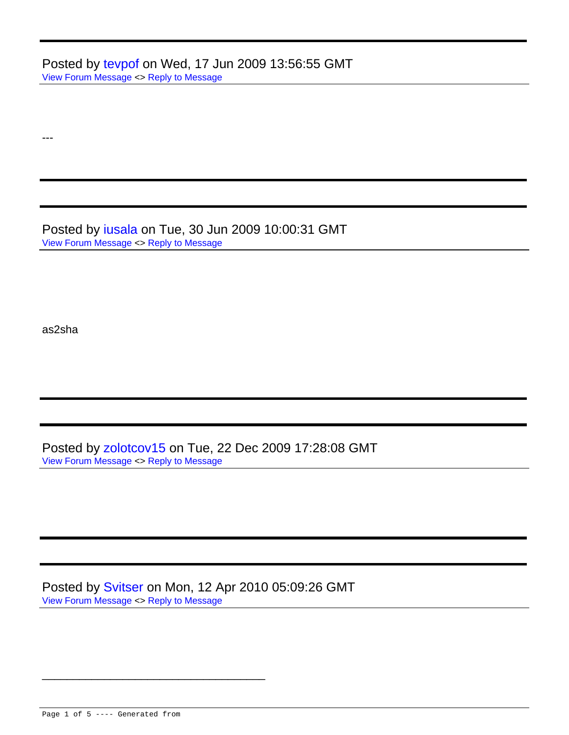Posted by [tevpof](http://www.flowers.org.ua/forum/index.php?t=usrinfo&id=376) on Wed, 17 Jun 2009 13:56:55 GMT [View Forum Message](http://www.flowers.org.ua/forum/index.php?t=rview&th=210&goto=565#msg_565) <> [Reply to Message](http://www.flowers.org.ua/forum/index.php?t=post&reply_to=565)

Posted by [iusala](http://www.flowers.org.ua/forum/index.php?t=usrinfo&id=387) on Tue, 30 Jun 2009 10:00:31 GMT [View Forum Message](http://www.flowers.org.ua/forum/index.php?t=rview&th=210&goto=573#msg_573) <> [Reply to Message](http://www.flowers.org.ua/forum/index.php?t=post&reply_to=573)

as2sha

---

Posted by [zolotcov15](http://www.flowers.org.ua/forum/index.php?t=usrinfo&id=429) on Tue, 22 Dec 2009 17:28:08 GMT [View Forum Message](http://www.flowers.org.ua/forum/index.php?t=rview&th=210&goto=631#msg_631) <> [Reply to Message](http://www.flowers.org.ua/forum/index.php?t=post&reply_to=631)

Posted by [Svitser](http://www.flowers.org.ua/forum/index.php?t=usrinfo&id=462) on Mon, 12 Apr 2010 05:09:26 GMT [View Forum Message](http://www.flowers.org.ua/forum/index.php?t=rview&th=210&goto=667#msg_667) <> [Reply to Message](http://www.flowers.org.ua/forum/index.php?t=post&reply_to=667)

\_\_\_\_\_\_\_\_\_\_\_\_\_\_\_\_\_\_\_\_\_\_\_\_\_\_\_\_\_\_\_\_\_\_\_\_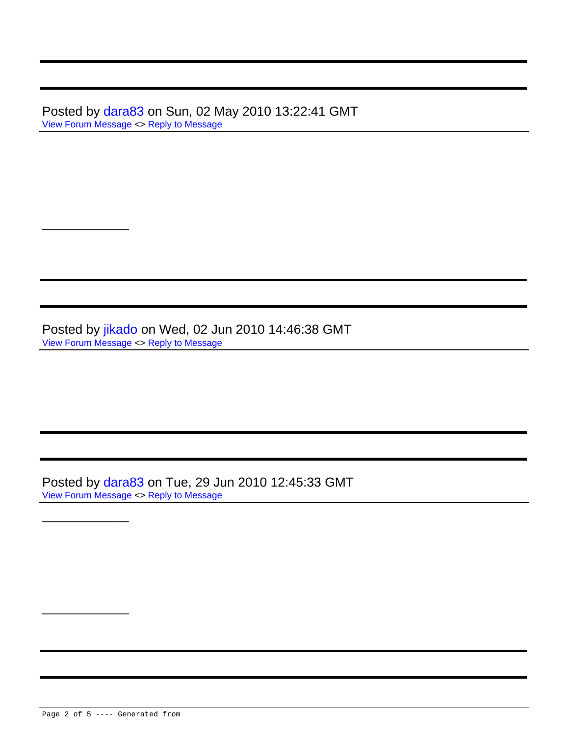Posted by [dara83](http://www.flowers.org.ua/forum/index.php?t=usrinfo&id=412) on Sun, 02 May 2010 13:22:41 GMT [View Forum Message](http://www.flowers.org.ua/forum/index.php?t=rview&th=210&goto=677#msg_677) <> [Reply to Message](http://www.flowers.org.ua/forum/index.php?t=post&reply_to=677)

Posted by [jikado](http://www.flowers.org.ua/forum/index.php?t=usrinfo&id=472) on Wed, 02 Jun 2010 14:46:38 GMT [View Forum Message](http://www.flowers.org.ua/forum/index.php?t=rview&th=210&goto=692#msg_692) <> [Reply to Message](http://www.flowers.org.ua/forum/index.php?t=post&reply_to=692)

Posted by [dara83](http://www.flowers.org.ua/forum/index.php?t=usrinfo&id=412) on Tue, 29 Jun 2010 12:45:33 GMT [View Forum Message](http://www.flowers.org.ua/forum/index.php?t=rview&th=210&goto=705#msg_705) <> [Reply to Message](http://www.flowers.org.ua/forum/index.php?t=post&reply_to=705)

Page 2 of 5 ---- Generated from

\_\_\_\_\_\_\_\_\_\_\_\_\_\_

\_\_\_\_\_\_\_\_\_\_\_\_\_\_

\_\_\_\_\_\_\_\_\_\_\_\_\_\_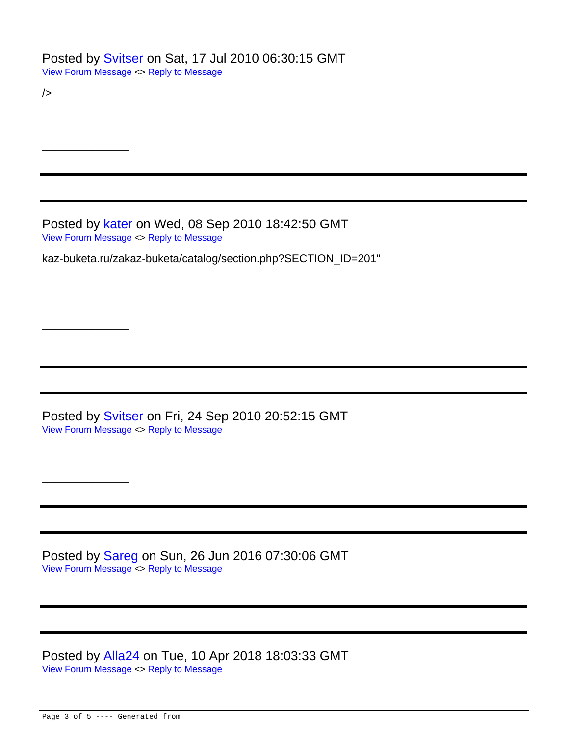$/$ 

\_\_\_\_\_\_\_\_\_\_\_\_\_\_

\_\_\_\_\_\_\_\_\_\_\_\_\_\_

\_\_\_\_\_\_\_\_\_\_\_\_\_\_

Posted by [kater](http://www.flowers.org.ua/forum/index.php?t=usrinfo&id=499) on Wed, 08 Sep 2010 18:42:50 GMT [View Forum Message](http://www.flowers.org.ua/forum/index.php?t=rview&th=210&goto=722#msg_722) <> [Reply to Message](http://www.flowers.org.ua/forum/index.php?t=post&reply_to=722)

kaz-buketa.ru/zakaz-buketa/catalog/section.php?SECTION\_ID=201"

Posted by [Svitser](http://www.flowers.org.ua/forum/index.php?t=usrinfo&id=462) on Fri, 24 Sep 2010 20:52:15 GMT [View Forum Message](http://www.flowers.org.ua/forum/index.php?t=rview&th=210&goto=732#msg_732) <> [Reply to Message](http://www.flowers.org.ua/forum/index.php?t=post&reply_to=732)

Posted by [Sareg](http://www.flowers.org.ua/forum/index.php?t=usrinfo&id=461) on Sun, 26 Jun 2016 07:30:06 GMT [View Forum Message](http://www.flowers.org.ua/forum/index.php?t=rview&th=210&goto=1071#msg_1071) <> [Reply to Message](http://www.flowers.org.ua/forum/index.php?t=post&reply_to=1071)

Posted by [Alla24](http://www.flowers.org.ua/forum/index.php?t=usrinfo&id=776) on Tue, 10 Apr 2018 18:03:33 GMT [View Forum Message](http://www.flowers.org.ua/forum/index.php?t=rview&th=210&goto=1189#msg_1189) <> [Reply to Message](http://www.flowers.org.ua/forum/index.php?t=post&reply_to=1189)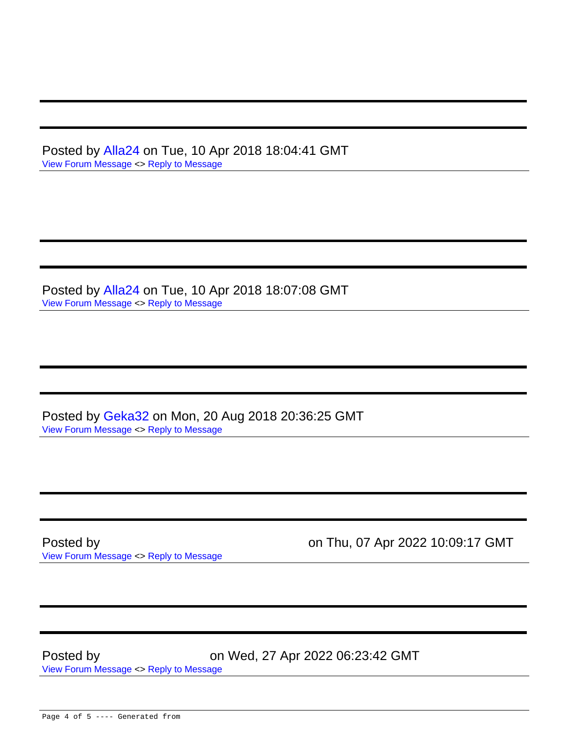Posted by [Alla24](http://www.flowers.org.ua/forum/index.php?t=usrinfo&id=776) on Tue, 10 Apr 2018 18:04:41 GMT [View Forum Message](http://www.flowers.org.ua/forum/index.php?t=rview&th=210&goto=1190#msg_1190) <> [Reply to Message](http://www.flowers.org.ua/forum/index.php?t=post&reply_to=1190)

Posted by [Alla24](http://www.flowers.org.ua/forum/index.php?t=usrinfo&id=776) on Tue, 10 Apr 2018 18:07:08 GMT [View Forum Message](http://www.flowers.org.ua/forum/index.php?t=rview&th=210&goto=1191#msg_1191) <> [Reply to Message](http://www.flowers.org.ua/forum/index.php?t=post&reply_to=1191)

Posted by [Geka32](http://www.flowers.org.ua/forum/index.php?t=usrinfo&id=804) on Mon, 20 Aug 2018 20:36:25 GMT [View Forum Message](http://www.flowers.org.ua/forum/index.php?t=rview&th=210&goto=1462#msg_1462) <> [Reply to Message](http://www.flowers.org.ua/forum/index.php?t=post&reply_to=1462)

[View Forum Message](http://www.flowers.org.ua/forum/index.php?t=rview&th=210&goto=1845#msg_1845) <> [Reply to Message](http://www.flowers.org.ua/forum/index.php?t=post&reply_to=1845)

Posted by **Posted by Posted by on Thu, 07 Apr 2022 10:09:17 GMT** 

Posted by on Wed, 27 Apr 2022 06:23:42 GMT [View Forum Message](http://www.flowers.org.ua/forum/index.php?t=rview&th=210&goto=1859#msg_1859) <> [Reply to Message](http://www.flowers.org.ua/forum/index.php?t=post&reply_to=1859)